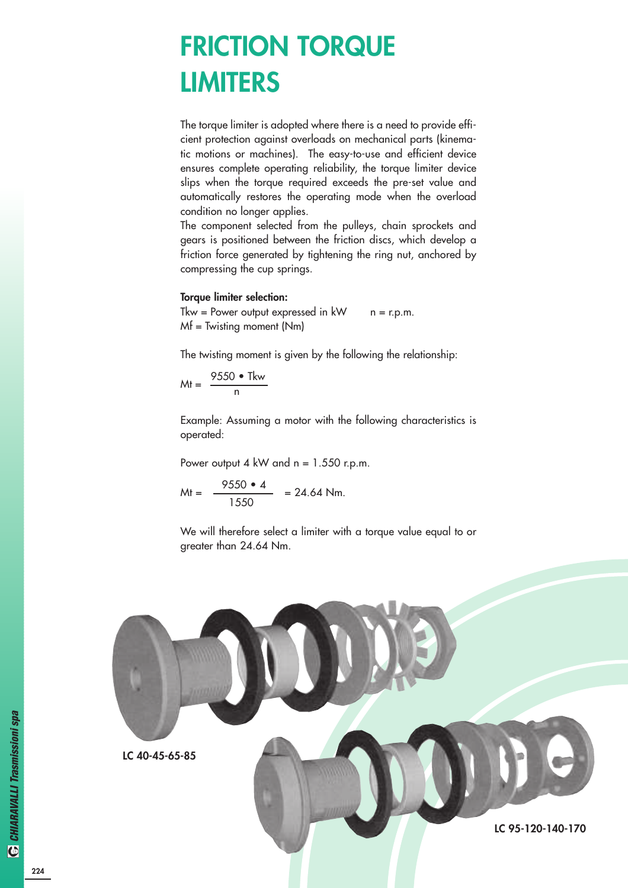## FRICTION TORQUE LIMITERS

The torque limiter is adopted where there is a need to provide efficient protection against overloads on mechanical parts (kinematic motions or machines). The easy-to-use and efficient device ensures complete operating reliability, the torque limiter device slips when the torque required exceeds the pre-set value and automatically restores the operating mode when the overload condition no longer applies.

The component selected from the pulleys, chain sprockets and gears is positioned between the friction discs, which develop a friction force generated by tightening the ring nut, anchored by compressing the cup springs.

## Torque limiter selection:

Tkw = Power output expressed in  $kW$  n = r.p.m.  $Mf =$  Twisting moment (Nm)

The twisting moment is given by the following the relationship:

$$
Mt = \frac{9550 \cdot Tkw}{n}
$$

Example: Assuming a motor with the following characteristics is operated:

Power output 4 kW and  $n = 1.550$  r.p.m.

$$
Mt = \frac{9550 \cdot 4}{1550} = 24.64 \text{ Nm}.
$$

We will therefore select a limiter with a torque value equal to or greater than 24.64 Nm.